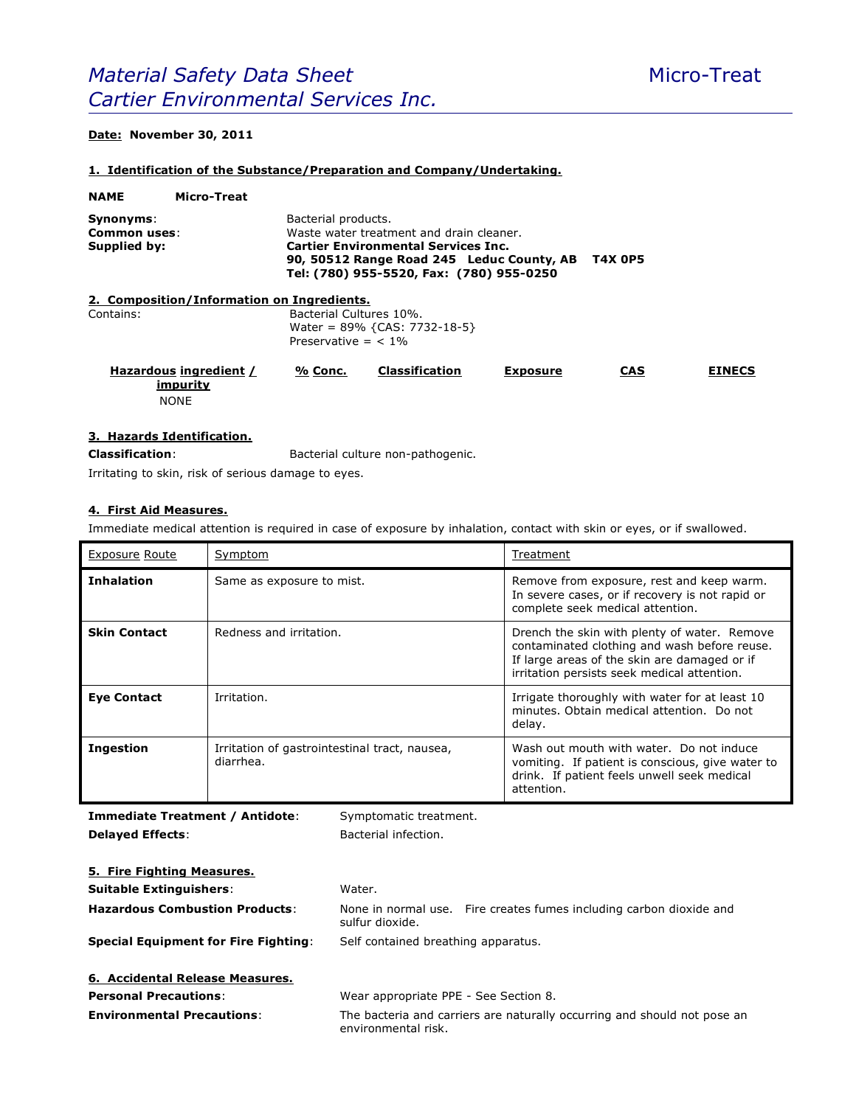# *Material Safety Data Sheet* Micro-Treat *Cartier Environmental Services Inc.*

# **Date: November 30, 2011**

#### **1. Identification of the Substance/Preparation and Company/Undertaking.**

| <b>NAME</b>                               | Micro-Treat                                       |                                                                                     |                                                                                                                                                                                 |                 |            |               |
|-------------------------------------------|---------------------------------------------------|-------------------------------------------------------------------------------------|---------------------------------------------------------------------------------------------------------------------------------------------------------------------------------|-----------------|------------|---------------|
| Synonyms:<br>Common uses:<br>Supplied by: |                                                   | Bacterial products.                                                                 | Waste water treatment and drain cleaner.<br><b>Cartier Environmental Services Inc.</b><br>90, 50512 Range Road 245 Leduc County, AB<br>Tel: (780) 955-5520, Fax: (780) 955-0250 | <b>T4X 0P5</b>  |            |               |
|                                           | 2. Composition/Information on Ingredients.        |                                                                                     |                                                                                                                                                                                 |                 |            |               |
| Contains:                                 |                                                   | Bacterial Cultures 10%.<br>Water = $89\%$ {CAS: 7732-18-5}<br>Preservative $=$ < 1% |                                                                                                                                                                                 |                 |            |               |
|                                           | Hazardous ingredient /<br>impurity<br><b>NONE</b> | % Conc.                                                                             | <b>Classification</b>                                                                                                                                                           | <b>Exposure</b> | <b>CAS</b> | <b>EINECS</b> |

### **3. Hazards Identification.**

**Classification**: Bacterial culture non-pathogenic.

Irritating to skin, risk of serious damage to eyes.

#### **4. First Aid Measures.**

Immediate medical attention is required in case of exposure by inhalation, contact with skin or eyes, or if swallowed.

| <b>Exposure Route</b> | Symptom                                                    | Treatment                                                                                                                                                                                   |
|-----------------------|------------------------------------------------------------|---------------------------------------------------------------------------------------------------------------------------------------------------------------------------------------------|
| <b>Inhalation</b>     | Same as exposure to mist.                                  | Remove from exposure, rest and keep warm.<br>In severe cases, or if recovery is not rapid or<br>complete seek medical attention.                                                            |
| <b>Skin Contact</b>   | Redness and irritation.                                    | Drench the skin with plenty of water. Remove<br>contaminated clothing and wash before reuse.<br>If large areas of the skin are damaged or if<br>irritation persists seek medical attention. |
| <b>Eye Contact</b>    | Irritation.                                                | Irrigate thoroughly with water for at least 10<br>minutes. Obtain medical attention. Do not<br>delay.                                                                                       |
| <b>Ingestion</b>      | Irritation of gastrointestinal tract, nausea,<br>diarrhea. | Wash out mouth with water. Do not induce<br>vomiting. If patient is conscious, give water to<br>drink. If patient feels unwell seek medical<br>attention.                                   |

**Immediate Treatment / Antidote:** Symptomatic treatment. **Delayed Effects:** Bacterial infection.

| 5. Fire Fighting Measures.                  |                                                                                                 |  |  |
|---------------------------------------------|-------------------------------------------------------------------------------------------------|--|--|
| <b>Suitable Extinguishers:</b>              | Water.                                                                                          |  |  |
| <b>Hazardous Combustion Products:</b>       | None in normal use. Fire creates fumes including carbon dioxide and<br>sulfur dioxide.          |  |  |
| <b>Special Equipment for Fire Fighting:</b> | Self contained breathing apparatus.                                                             |  |  |
| 6. Accidental Release Measures.             |                                                                                                 |  |  |
| <b>Personal Precautions:</b>                | Wear appropriate PPE - See Section 8.                                                           |  |  |
| <b>Environmental Precautions:</b>           | The bacteria and carriers are naturally occurring and should not pose an<br>environmental risk. |  |  |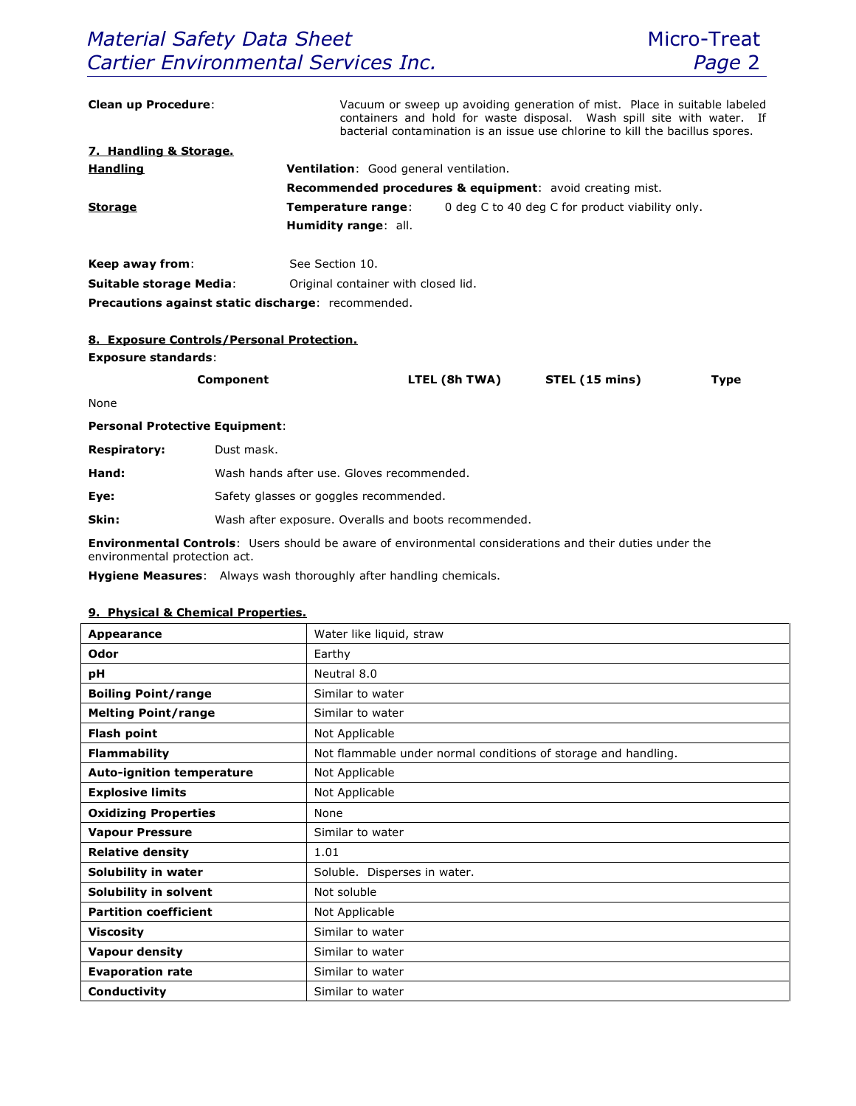| <b>Clean up Procedure:</b>                         | Vacuum or sweep up avoiding generation of mist. Place in suitable labeled<br>containers and hold for waste disposal. Wash spill site with water. If<br>bacterial contamination is an issue use chlorine to kill the bacillus spores. |                                                                       |  |                |             |  |
|----------------------------------------------------|--------------------------------------------------------------------------------------------------------------------------------------------------------------------------------------------------------------------------------------|-----------------------------------------------------------------------|--|----------------|-------------|--|
| 7. Handling & Storage.                             |                                                                                                                                                                                                                                      |                                                                       |  |                |             |  |
| <b>Handling</b>                                    | Ventilation: Good general ventilation.                                                                                                                                                                                               |                                                                       |  |                |             |  |
|                                                    |                                                                                                                                                                                                                                      | <b>Recommended procedures &amp; equipment:</b> avoid creating mist.   |  |                |             |  |
| <b>Storage</b>                                     |                                                                                                                                                                                                                                      | Temperature range:<br>0 deg C to 40 deg C for product viability only. |  |                |             |  |
|                                                    | <b>Humidity range: all.</b>                                                                                                                                                                                                          |                                                                       |  |                |             |  |
| Keep away from:                                    | See Section 10.                                                                                                                                                                                                                      |                                                                       |  |                |             |  |
| <b>Suitable storage Media:</b>                     |                                                                                                                                                                                                                                      | Original container with closed lid.                                   |  |                |             |  |
| Precautions against static discharge: recommended. |                                                                                                                                                                                                                                      |                                                                       |  |                |             |  |
|                                                    |                                                                                                                                                                                                                                      |                                                                       |  |                |             |  |
|                                                    | 8. Exposure Controls/Personal Protection.                                                                                                                                                                                            |                                                                       |  |                |             |  |
| <b>Exposure standards:</b>                         |                                                                                                                                                                                                                                      |                                                                       |  |                |             |  |
|                                                    | <b>Component</b>                                                                                                                                                                                                                     | LTEL (8h TWA)                                                         |  | STEL (15 mins) | <b>Type</b> |  |
| None                                               |                                                                                                                                                                                                                                      |                                                                       |  |                |             |  |
| <b>Personal Protective Equipment:</b>              |                                                                                                                                                                                                                                      |                                                                       |  |                |             |  |
| <b>Respiratory:</b>                                | Dust mask.                                                                                                                                                                                                                           |                                                                       |  |                |             |  |
| Hand:                                              | Wash hands after use. Gloves recommended.                                                                                                                                                                                            |                                                                       |  |                |             |  |
| Eye:                                               | Safety glasses or goggles recommended.                                                                                                                                                                                               |                                                                       |  |                |             |  |
|                                                    |                                                                                                                                                                                                                                      |                                                                       |  |                |             |  |

**Skin:** Wash after exposure. Overalls and boots recommended.

**Environmental Controls**: Users should be aware of environmental considerations and their duties under the environmental protection act.

**Hygiene Measures**: Always wash thoroughly after handling chemicals.

## **9. Physical & Chemical Properties.**

| <b>Appearance</b>                | Water like liquid, straw                                       |
|----------------------------------|----------------------------------------------------------------|
| Odor                             | Earthy                                                         |
| рH                               | Neutral 8.0                                                    |
| <b>Boiling Point/range</b>       | Similar to water                                               |
| <b>Melting Point/range</b>       | Similar to water                                               |
| <b>Flash point</b>               | Not Applicable                                                 |
| <b>Flammability</b>              | Not flammable under normal conditions of storage and handling. |
| <b>Auto-ignition temperature</b> | Not Applicable                                                 |
| <b>Explosive limits</b>          | Not Applicable                                                 |
| <b>Oxidizing Properties</b>      | None                                                           |
| <b>Vapour Pressure</b>           | Similar to water                                               |
| <b>Relative density</b>          | 1.01                                                           |
| Solubility in water              | Soluble. Disperses in water.                                   |
| Solubility in solvent            | Not soluble                                                    |
| <b>Partition coefficient</b>     | Not Applicable                                                 |
| <b>Viscosity</b>                 | Similar to water                                               |
| <b>Vapour density</b>            | Similar to water                                               |
| <b>Evaporation rate</b>          | Similar to water                                               |
| Conductivity                     | Similar to water                                               |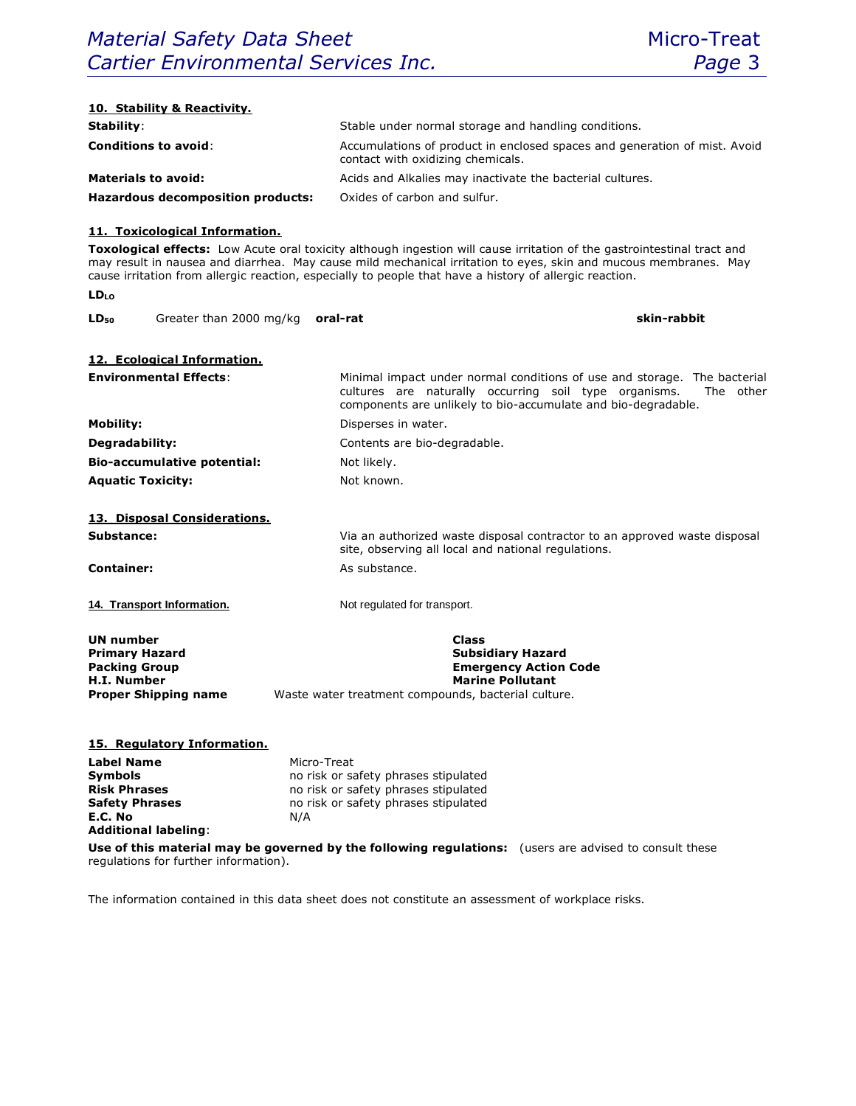| 10. Stability & Reactivity.<br>Stability:                                                                                                                                                                                   | Stable under normal storage and handling conditions.                                                                                                                                                                                                                                                                                                                 |
|-----------------------------------------------------------------------------------------------------------------------------------------------------------------------------------------------------------------------------|----------------------------------------------------------------------------------------------------------------------------------------------------------------------------------------------------------------------------------------------------------------------------------------------------------------------------------------------------------------------|
|                                                                                                                                                                                                                             |                                                                                                                                                                                                                                                                                                                                                                      |
| <b>Conditions to avoid:</b>                                                                                                                                                                                                 | Accumulations of product in enclosed spaces and generation of mist. Avoid<br>contact with oxidizing chemicals.                                                                                                                                                                                                                                                       |
| <b>Materials to avoid:</b>                                                                                                                                                                                                  | Acids and Alkalies may inactivate the bacterial cultures.                                                                                                                                                                                                                                                                                                            |
| Hazardous decomposition products:                                                                                                                                                                                           | Oxides of carbon and sulfur.                                                                                                                                                                                                                                                                                                                                         |
| 11. Toxicological Information.<br><b>LD</b> LO                                                                                                                                                                              | Toxological effects: Low Acute oral toxicity although ingestion will cause irritation of the gastrointestinal tract and<br>may result in nausea and diarrhea. May cause mild mechanical irritation to eyes, skin and mucous membranes. May<br>cause irritation from allergic reaction, especially to people that have a history of allergic reaction.<br>skin-rabbit |
| Greater than 2000 mg/kg<br>LD <sub>50</sub>                                                                                                                                                                                 | oral-rat                                                                                                                                                                                                                                                                                                                                                             |
|                                                                                                                                                                                                                             |                                                                                                                                                                                                                                                                                                                                                                      |
| 12. Ecological Information.<br><b>Environmental Effects:</b>                                                                                                                                                                |                                                                                                                                                                                                                                                                                                                                                                      |
|                                                                                                                                                                                                                             | Minimal impact under normal conditions of use and storage. The bacterial<br>cultures are naturally occurring soil type organisms.<br>The other<br>components are unlikely to bio-accumulate and bio-degradable.                                                                                                                                                      |
| <b>Mobility:</b>                                                                                                                                                                                                            | Disperses in water.                                                                                                                                                                                                                                                                                                                                                  |
| Degradability:                                                                                                                                                                                                              | Contents are bio-degradable.                                                                                                                                                                                                                                                                                                                                         |
| <b>Bio-accumulative potential:</b>                                                                                                                                                                                          | Not likely.                                                                                                                                                                                                                                                                                                                                                          |
| <b>Aquatic Toxicity:</b>                                                                                                                                                                                                    | Not known.                                                                                                                                                                                                                                                                                                                                                           |
|                                                                                                                                                                                                                             |                                                                                                                                                                                                                                                                                                                                                                      |
| 13. Disposal Considerations.                                                                                                                                                                                                |                                                                                                                                                                                                                                                                                                                                                                      |
| Substance:                                                                                                                                                                                                                  | Via an authorized waste disposal contractor to an approved waste disposal<br>site, observing all local and national regulations.                                                                                                                                                                                                                                     |
| <b>Container:</b>                                                                                                                                                                                                           | As substance.                                                                                                                                                                                                                                                                                                                                                        |
| 14. Transport Information.                                                                                                                                                                                                  | Not regulated for transport.                                                                                                                                                                                                                                                                                                                                         |
| UN number<br><b>Primary Hazard</b><br><b>Packing Group</b><br><b>H.I. Number</b><br><b>Proper Shipping name</b>                                                                                                             | <b>Class</b><br><b>Subsidiary Hazard</b><br><b>Emergency Action Code</b><br><b>Marine Pollutant</b><br>Waste water treatment compounds, bacterial culture.                                                                                                                                                                                                           |
| 15. Regulatory Information.<br><b>Label Name</b><br>Micro-Treat<br><b>Symbols</b><br><b>Risk Phrases</b><br><b>Safety Phrases</b><br>E.C. No<br>N/A<br><b>Additional labeling:</b><br>regulations for further information). | no risk or safety phrases stipulated<br>no risk or safety phrases stipulated<br>no risk or safety phrases stipulated<br>Use of this material may be governed by the following regulations: (users are advised to consult these                                                                                                                                       |
|                                                                                                                                                                                                                             |                                                                                                                                                                                                                                                                                                                                                                      |

The information contained in this data sheet does not constitute an assessment of workplace risks.